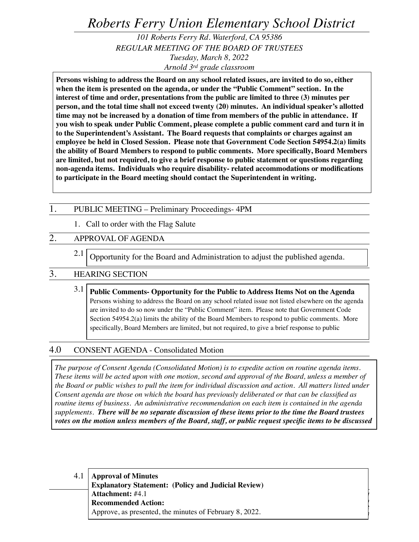*Roberts Ferry Union Elementary School District*

*101 Roberts Ferry Rd. Waterford, CA 95386 REGULAR MEETING OF THE BOARD OF TRUSTEES Tuesday, March 8, 2022 Arnold 3rd grade classroom*

**Persons wishing to address the Board on any school related issues, are invited to do so, either when the item is presented on the agenda, or under the "Public Comment" section. In the interest of time and order, presentations from the public are limited to three (3) minutes per person, and the total time shall not exceed twenty (20) minutes. An individual speaker's allotted time may not be increased by a donation of time from members of the public in attendance. If you wish to speak under Public Comment, please complete a public comment card and turn it in to the Superintendent's Assistant. The Board requests that complaints or charges against an employee be held in Closed Session. Please note that Government Code Section 54954.2(a) limits the ability of Board Members to respond to public comments. More specifically, Board Members are limited, but not required, to give a brief response to public statement or questions regarding non-agenda items. Individuals who require disability- related accommodations or modifications to participate in the Board meeting should contact the Superintendent in writing.**

#### 1. PUBLIC MEETING – Preliminary Proceedings- 4PM

1. Call to order with the Flag Salute

# 2. APPROVAL OF AGENDA

2.1 Opportunity for the Board and Administration to adjust the published agenda.

## 3. HEARING SECTION

3.1 **Public Comments- Opportunity for the Public to Address Items Not on the Agenda** Persons wishing to address the Board on any school related issue not listed elsewhere on the agenda are invited to do so now under the "Public Comment" item. Please note that Government Code Section 54954.2(a) limits the ability of the Board Members to respond to public comments. More specifically, Board Members are limited, but not required, to give a brief response to public

## 4.0 CONSENT AGENDA - Consolidated Motion

*The purpose of Consent Agenda (Consolidated Motion) is to expedite action on routine agenda items. These items will be acted upon with one motion, second and approval of the Board, unless a member of the Board or public wishes to pull the item for individual discussion and action. All matters listed under Consent agenda are those on which the board has previously deliberated or that can be classified as routine items of business. An administrative recommendation on each item is contained in the agenda supplements. There will be no separate discussion of these items prior to the time the Board trustees votes on the motion unless members of the Board, staff, or public request specific items to be discussed* 

*Board of Trustees Meeting Agenda*

*March 8, 2022 Page 1 of 3*

4.1 *Roberts Ferry Union Elementary School District*  **Approval of Minutes Explanatory Statement: (Policy and Judicial Review) Attachment:** #4.1 **Recommended Action:** Approve, as presented, the minutes of February 8, 2022.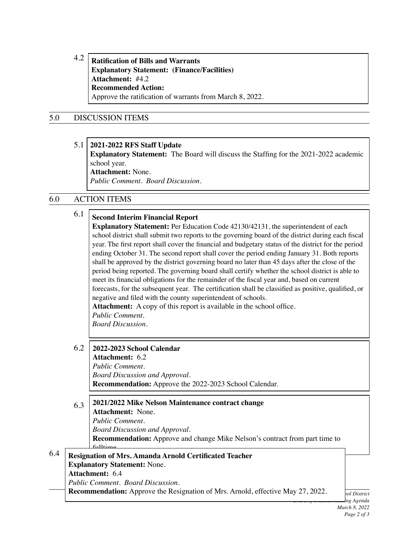4.2 **Ratification of Bills and Warrants Explanatory Statement: (Finance/Facilities) Attachment:** #4.2 **Recommended Action:** Approve the ratification of warrants from March 8, 2022.

## 5.0 DISCUSSION ITEMS

#### 5.1 **2021-2022 RFS Staff Update**

**Explanatory Statement:** The Board will discuss the Staffing for the 2021-2022 academic school year.

**Attachment:** None. *Public Comment. Board Discussion.*

## 6.0 ACTION ITEMS

6.4

| 6.1                                                                                                                                                                                                                                                                                                         | <b>Second Interim Financial Report</b><br><b>Explanatory Statement:</b> Per Education Code 42130/42131, the superintendent of each<br>school district shall submit two reports to the governing board of the district during each fiscal<br>year. The first report shall cover the financial and budgetary status of the district for the period<br>ending October 31. The second report shall cover the period ending January 31. Both reports<br>shall be approved by the district governing board no later than 45 days after the close of the<br>period being reported. The governing board shall certify whether the school district is able to<br>meet its financial obligations for the remainder of the fiscal year and, based on current<br>forecasts, for the subsequent year. The certification shall be classified as positive, qualified, or<br>negative and filed with the county superintendent of schools.<br>Attachment: A copy of this report is available in the school office.<br>Public Comment.<br><b>Board Discussion.</b> |  |
|-------------------------------------------------------------------------------------------------------------------------------------------------------------------------------------------------------------------------------------------------------------------------------------------------------------|---------------------------------------------------------------------------------------------------------------------------------------------------------------------------------------------------------------------------------------------------------------------------------------------------------------------------------------------------------------------------------------------------------------------------------------------------------------------------------------------------------------------------------------------------------------------------------------------------------------------------------------------------------------------------------------------------------------------------------------------------------------------------------------------------------------------------------------------------------------------------------------------------------------------------------------------------------------------------------------------------------------------------------------------------|--|
| 6.2                                                                                                                                                                                                                                                                                                         | 2022-2023 School Calendar<br><b>Attachment: 6.2</b><br>Public Comment.<br><b>Board Discussion and Approval.</b><br>Recommendation: Approve the 2022-2023 School Calendar.                                                                                                                                                                                                                                                                                                                                                                                                                                                                                                                                                                                                                                                                                                                                                                                                                                                                         |  |
| 6.3                                                                                                                                                                                                                                                                                                         | 2021/2022 Mike Nelson Maintenance contract change<br><b>Attachment: None.</b><br>Public Comment.<br><b>Board Discussion and Approval.</b><br>Recommendation: Approve and change Mike Nelson's contract from part time to<br>full time                                                                                                                                                                                                                                                                                                                                                                                                                                                                                                                                                                                                                                                                                                                                                                                                             |  |
| <b>Resignation of Mrs. Amanda Arnold Certificated Teacher</b><br><b>Explanatory Statement: None.</b><br>Attachment: 6.4<br><b>Public Comment. Board Discussion.</b><br><b>Recommendation:</b> Approve the Resignation of Mrs. Arnold, effective May 27, 2022.<br>bol District<br>ng Agenda<br>March 8, 2022 |                                                                                                                                                                                                                                                                                                                                                                                                                                                                                                                                                                                                                                                                                                                                                                                                                                                                                                                                                                                                                                                   |  |